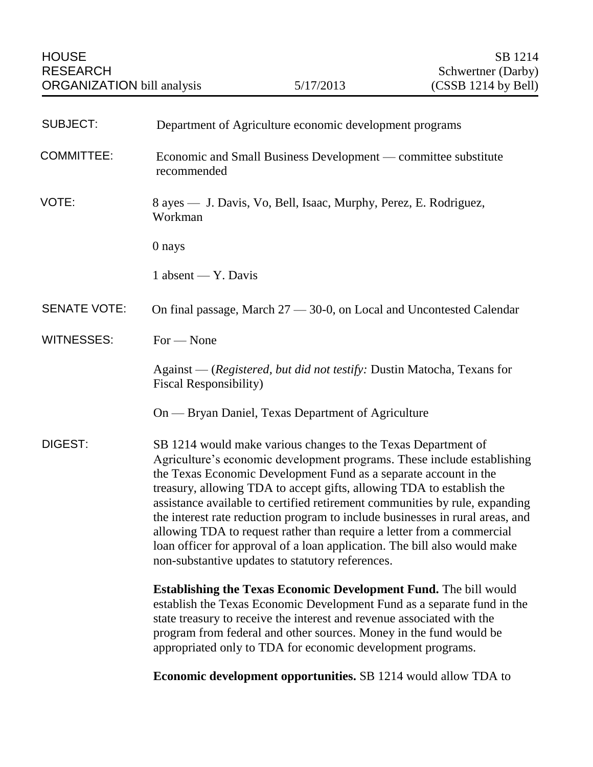| <b>SUBJECT:</b>     | Department of Agriculture economic development programs                                                                                                                                                                                                                                                                                                                                                                                                                                                                                                                                                                                                          |
|---------------------|------------------------------------------------------------------------------------------------------------------------------------------------------------------------------------------------------------------------------------------------------------------------------------------------------------------------------------------------------------------------------------------------------------------------------------------------------------------------------------------------------------------------------------------------------------------------------------------------------------------------------------------------------------------|
| <b>COMMITTEE:</b>   | Economic and Small Business Development — committee substitute<br>recommended                                                                                                                                                                                                                                                                                                                                                                                                                                                                                                                                                                                    |
| VOTE:               | 8 ayes — J. Davis, Vo, Bell, Isaac, Murphy, Perez, E. Rodriguez,<br>Workman                                                                                                                                                                                                                                                                                                                                                                                                                                                                                                                                                                                      |
|                     | 0 nays                                                                                                                                                                                                                                                                                                                                                                                                                                                                                                                                                                                                                                                           |
|                     | 1 absent — Y. Davis                                                                                                                                                                                                                                                                                                                                                                                                                                                                                                                                                                                                                                              |
| <b>SENATE VOTE:</b> | On final passage, March 27 — 30-0, on Local and Uncontested Calendar                                                                                                                                                                                                                                                                                                                                                                                                                                                                                                                                                                                             |
| <b>WITNESSES:</b>   | For - None                                                                                                                                                                                                                                                                                                                                                                                                                                                                                                                                                                                                                                                       |
|                     | Against - (Registered, but did not testify: Dustin Matocha, Texans for<br>Fiscal Responsibility)                                                                                                                                                                                                                                                                                                                                                                                                                                                                                                                                                                 |
|                     | On — Bryan Daniel, Texas Department of Agriculture                                                                                                                                                                                                                                                                                                                                                                                                                                                                                                                                                                                                               |
| DIGEST:             | SB 1214 would make various changes to the Texas Department of<br>Agriculture's economic development programs. These include establishing<br>the Texas Economic Development Fund as a separate account in the<br>treasury, allowing TDA to accept gifts, allowing TDA to establish the<br>assistance available to certified retirement communities by rule, expanding<br>the interest rate reduction program to include businesses in rural areas, and<br>allowing TDA to request rather than require a letter from a commercial<br>loan officer for approval of a loan application. The bill also would make<br>non-substantive updates to statutory references. |
|                     | <b>Establishing the Texas Economic Development Fund.</b> The bill would<br>establish the Texas Economic Development Fund as a separate fund in the<br>state treasury to receive the interest and revenue associated with the<br>program from federal and other sources. Money in the fund would be<br>appropriated only to TDA for economic development programs.                                                                                                                                                                                                                                                                                                |
|                     | <b>Economic development opportunities.</b> SB 1214 would allow TDA to                                                                                                                                                                                                                                                                                                                                                                                                                                                                                                                                                                                            |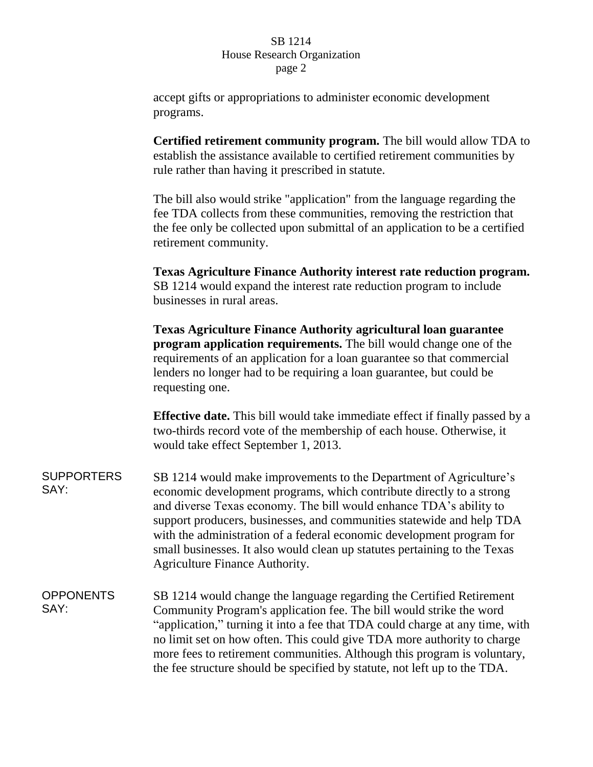## SB 1214 House Research Organization page 2

accept gifts or appropriations to administer economic development programs.

**Certified retirement community program.** The bill would allow TDA to establish the assistance available to certified retirement communities by rule rather than having it prescribed in statute.

The bill also would strike "application" from the language regarding the fee TDA collects from these communities, removing the restriction that the fee only be collected upon submittal of an application to be a certified retirement community.

**Texas Agriculture Finance Authority interest rate reduction program.** SB 1214 would expand the interest rate reduction program to include businesses in rural areas.

**Texas Agriculture Finance Authority agricultural loan guarantee program application requirements.** The bill would change one of the requirements of an application for a loan guarantee so that commercial lenders no longer had to be requiring a loan guarantee, but could be requesting one.

**Effective date.** This bill would take immediate effect if finally passed by a two-thirds record vote of the membership of each house. Otherwise, it would take effect September 1, 2013.

**SUPPORTERS** SAY: SB 1214 would make improvements to the Department of Agriculture's economic development programs, which contribute directly to a strong and diverse Texas economy. The bill would enhance TDA's ability to support producers, businesses, and communities statewide and help TDA with the administration of a federal economic development program for small businesses. It also would clean up statutes pertaining to the Texas Agriculture Finance Authority.

**OPPONENTS** SAY: SB 1214 would change the language regarding the Certified Retirement Community Program's application fee. The bill would strike the word "application," turning it into a fee that TDA could charge at any time, with no limit set on how often. This could give TDA more authority to charge more fees to retirement communities. Although this program is voluntary, the fee structure should be specified by statute, not left up to the TDA.